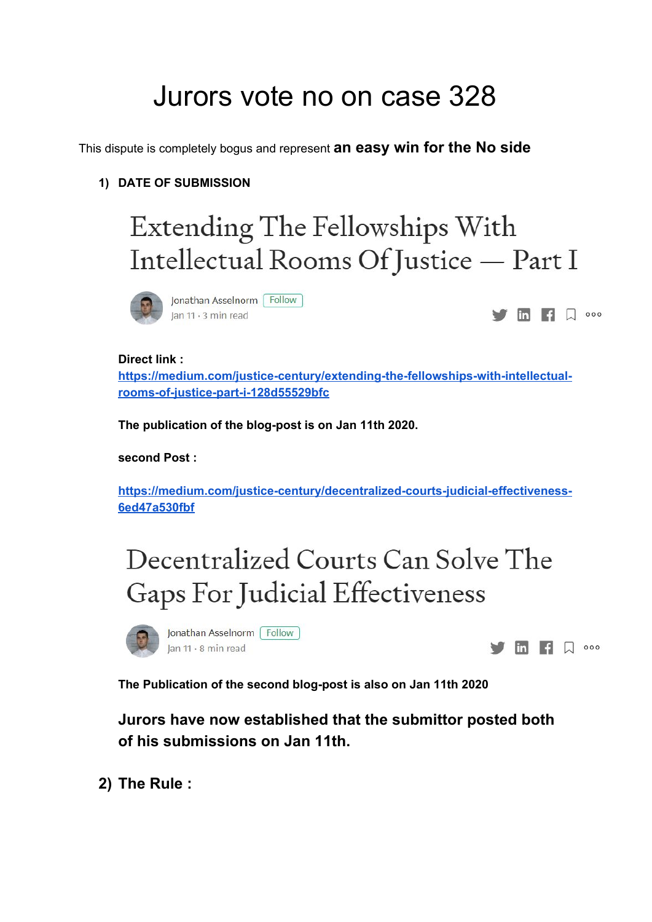# Jurors vote no on case 328

This dispute is completely bogus and represent **an easy win for the No side**

### **1) DATE OF SUBMISSION**

# Extending The Fellowships With Intellectual Rooms Of Justice - Part I



Jonathan Asselnorm Follow Jan 11 · 3 min read

 $\overline{m}$   $\overline{q}$   $\overline{Q}$  000

#### **Direct link :**

**[https://medium.com/justice-century/extending-the-fellowships-with-intellectual](https://medium.com/justice-century/extending-the-fellowships-with-intellectual-rooms-of-justice-part-i-128d55529bfc)[rooms-of-justice-part-i-128d55529bfc](https://medium.com/justice-century/extending-the-fellowships-with-intellectual-rooms-of-justice-part-i-128d55529bfc)**

**The publication of the blog-post is on Jan 11th 2020.**

**second Post :**

**[https://medium.com/justice-century/decentralized-courts-judicial-effectiveness-](https://medium.com/justice-century/decentralized-courts-judicial-effectiveness-6ed47a530fbf)[6ed47a530fbf](https://medium.com/justice-century/decentralized-courts-judicial-effectiveness-6ed47a530fbf)**

## Decentralized Courts Can Solve The Gaps For Judicial Effectiveness

Jonathan Asselnorm | Follow Jan 11 · 8 min read



**The Publication of the second blog-post is also on Jan 11th 2020**

**Jurors have now established that the submittor posted both of his submissions on Jan 11th.**

**2) The Rule :**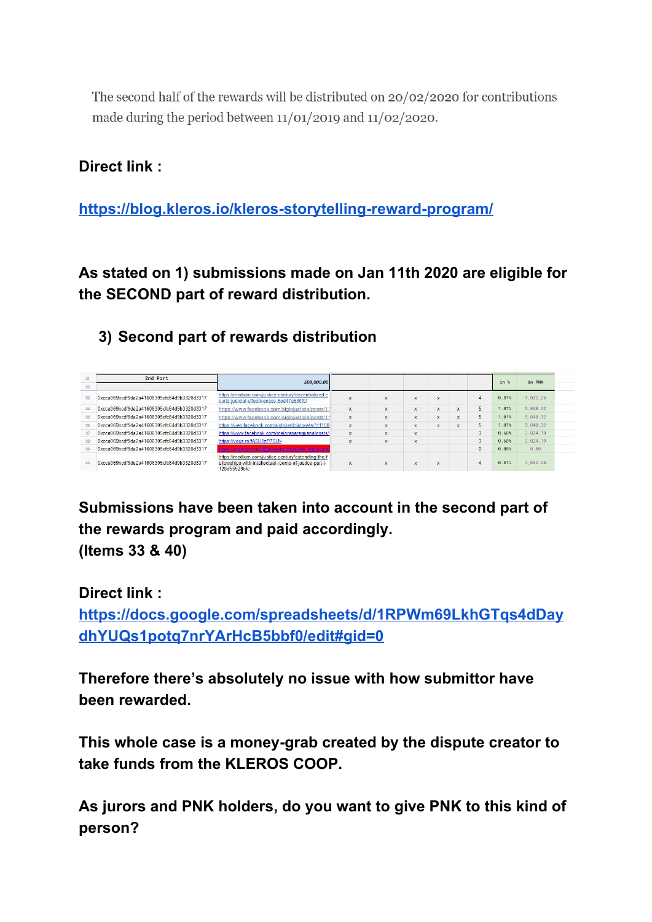The second half of the rewards will be distributed on  $20/02/2020$  for contributions made during the period between  $11/01/2019$  and  $11/02/2020$ .

### **Direct link :**

**<https://blog.kleros.io/kleros-storytelling-reward-program/>**

**As stated on 1) submissions made on Jan 11th 2020 are eligible for the SECOND part of reward distribution.**

### **3) Second part of rewards distribution**

| 31 | 2nd Part                                   | 500,000,00                                                                                                                  |              |              |              |             |   |                | in %  | in PNK     |
|----|--------------------------------------------|-----------------------------------------------------------------------------------------------------------------------------|--------------|--------------|--------------|-------------|---|----------------|-------|------------|
| 32 |                                            |                                                                                                                             |              |              |              |             |   |                |       |            |
| 33 | 0xcca069bcdf9da2a41606305cfc64d9b3320d3317 | https://medium.com/justice-century/decentralized-c<br>ourts-judicial-effectiveness-6ed47a530fbf                             | X            | $\mathsf{x}$ | X            | X           |   | $\overline{A}$ | 0.81% | 4.032.26   |
| 34 | 0xcca069bcdf9da2a41606305cfc64d9b3320d3317 | https://www.facebook.com/siglojusticia/posts/11                                                                             | $\times$     | $\mathsf{x}$ | $\mathbf{x}$ | $\mathbf x$ | X | 5              | 1.01% | 5, 040.32  |
| 35 | 0xcca069bcdf9da2a41606305cfc64d9b3320d3317 | https://www.facebook.com/siglojusticia/posts/11                                                                             | $\times$     | $\times$     | X            | $\times$    | × | 5              | 1.01% | 5.040.32   |
| 36 | 0xcca069bcdf9da2a41606305cfc64d9b3320d3317 | https://web.facebook.com/siglojusticia/posts/111108                                                                         | $\times$     | $\times$     | X            | $\times$    | x | 5              | 1.01% | 5.040.32   |
| 37 | 0xcca069bcdf9da2a41606305cfc64d9b3320d3317 | https://www.facebook.com/mejoraparaquana/posts/                                                                             | $\mathsf{x}$ | $\mathsf{x}$ | $\mathsf{x}$ |             |   | 3              | 0.60% | 3.024.19   |
| 38 | 0xcca069bcdf9da2a41606305cfc64d9b3320d3317 | https://voca.ro/fA5U1zP7SUk                                                                                                 | $\mathbf x$  | $\mathbf{x}$ | $\mathbf{x}$ |             |   | 3              | 0.60% | 3, 024, 19 |
| 30 | 0xcca069bcdf9da2a41606305cfc64d9b3320d3317 | sitos //medium com/@iossehromosaller-intellectue                                                                            |              |              |              |             |   | $\mathbf{0}$   | 0.00% | 8.88       |
|    | 0xcca069bcdf9da2a41606305cfc64d9b3320d3317 | https://medium.com/justice-century/extending-the-f<br>ellowships-with-intellectual-rooms-of-justice-part-i-<br>128d55529bfc | x            | $\mathbf{x}$ | $\mathbf x$  | $\mathbf x$ |   | $\Delta$       | 0.81% | 4, 032.26  |

**Submissions have been taken into account in the second part of the rewards program and paid accordingly. (Items 33 & 40)**

**Direct link :**

**[https://docs.google.com/spreadsheets/d/1RPWm69LkhGTqs4dDay](https://docs.google.com/spreadsheets/d/1RPWm69LkhGTqs4dDaydhYUQs1potq7nrYArHcB5bbf0/edit#gid=0) [dhYUQs1potq7nrYArHcB5bbf0/edit#gid=0](https://docs.google.com/spreadsheets/d/1RPWm69LkhGTqs4dDaydhYUQs1potq7nrYArHcB5bbf0/edit#gid=0)**

**Therefore there's absolutely no issue with how submittor have been rewarded.**

**This whole case is a money-grab created by the dispute creator to take funds from the KLEROS COOP.**

**As jurors and PNK holders, do you want to give PNK to this kind of person?**